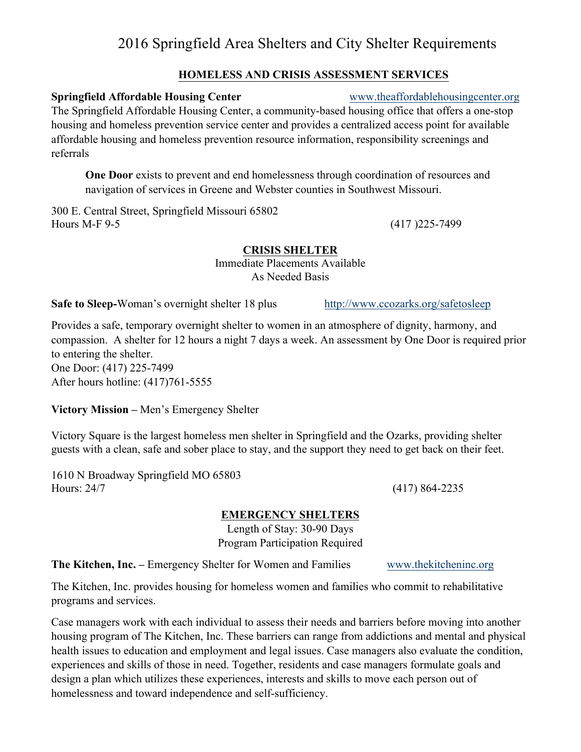# 2016 Springfield Area Shelters and City Shelter Requirements

### **HOMELESS AND CRISIS ASSESSMENT SERVICES**

### **Springfield Affordable Housing Center** www.theaffordablehousingcenter.org

The Springfield Affordable Housing Center, a community-based housing office that offers a one-stop housing and homeless prevention service center and provides a centralized access point for available affordable housing and homeless prevention resource information, responsibility screenings and referrals

**One Door** exists to prevent and end homelessness through coordination of resources and navigation of services in Greene and Webster counties in Southwest Missouri.

300 E. Central Street, Springfield Missouri 65802 Hours M-F 9-5 (417 )225-7499

### **CRISIS SHELTER**

Immediate Placements Available As Needed Basis

**Safe to Sleep-Woman's overnight shelter 18 plus** http://www.ccozarks.org/safetosleep

Provides a safe, temporary overnight shelter to women in an atmosphere of dignity, harmony, and compassion. A shelter for 12 hours a night 7 days a week. An assessment by One Door is required prior to entering the shelter. One Door: (417) 225-7499

After hours hotline: (417)761-5555

### **Victory Mission –** Men's Emergency Shelter

Victory Square is the largest homeless men shelter in Springfield and the Ozarks, providing shelter guests with a clean, safe and sober place to stay, and the support they need to get back on their feet.

1610 N Broadway Springfield MO 65803 Hours: 24/7 (417) 864-2235

### **EMERGENCY SHELTERS**

Length of Stay: 30-90 Days Program Participation Required

**The Kitchen, Inc.** – Emergency Shelter for Women and Families www.thekitcheninc.org

The Kitchen, Inc. provides housing for homeless women and families who commit to rehabilitative programs and services.

Case managers work with each individual to assess their needs and barriers before moving into another housing program of The Kitchen, Inc. These barriers can range from addictions and mental and physical health issues to education and employment and legal issues. Case managers also evaluate the condition, experiences and skills of those in need. Together, residents and case managers formulate goals and design a plan which utilizes these experiences, interests and skills to move each person out of homelessness and toward independence and self-sufficiency.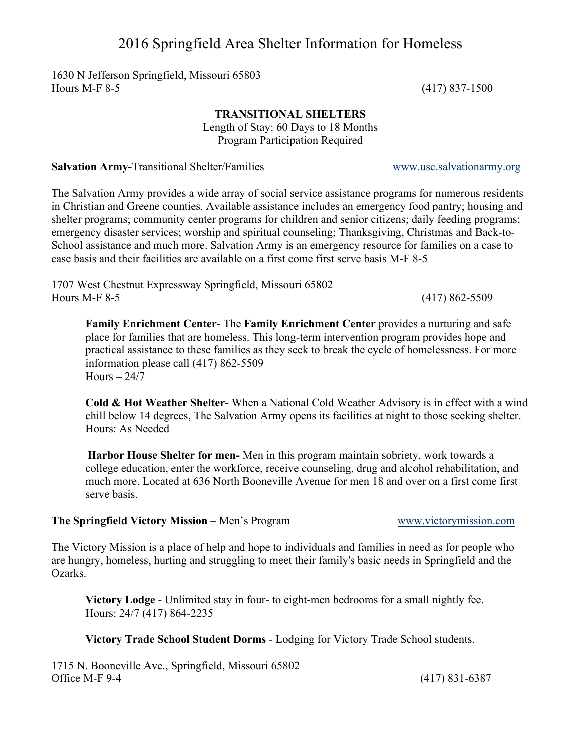## 2016 Springfield Area Shelter Information for Homeless

1630 N Jefferson Springfield, Missouri 65803 Hours M-F 8-5 (417) 837-1500

#### **TRANSITIONAL SHELTERS**

Length of Stay: 60 Days to 18 Months Program Participation Required

**Salvation Army-**Transitional Shelter/Families *www.usc.salvationarmy.org* 

The Salvation Army provides a wide array of social service assistance programs for numerous residents in Christian and Greene counties. Available assistance includes an emergency food pantry; housing and shelter programs; community center programs for children and senior citizens; daily feeding programs; emergency disaster services; worship and spiritual counseling; Thanksgiving, Christmas and Back-to-School assistance and much more. Salvation Army is an emergency resource for families on a case to case basis and their facilities are available on a first come first serve basis M-F 8-5

1707 West Chestnut Expressway Springfield, Missouri 65802 Hours M-F 8-5 (417) 862-5509

**Family Enrichment Center-** The **Family Enrichment Center** provides a nurturing and safe place for families that are homeless. This long-term intervention program provides hope and practical assistance to these families as they seek to break the cycle of homelessness. For more information please call (417) 862-5509  $Hours - 24/7$ 

**Cold & Hot Weather Shelter-** When a National Cold Weather Advisory is in effect with a wind chill below 14 degrees, The Salvation Army opens its facilities at night to those seeking shelter. Hours: As Needed

**Harbor House Shelter for men-** Men in this program maintain sobriety, work towards a college education, enter the workforce, receive counseling, drug and alcohol rehabilitation, and much more. Located at 636 North Booneville Avenue for men 18 and over on a first come first serve basis.

#### **The Springfield Victory Mission – Men's Program www.victorymission.com**

The Victory Mission is a place of help and hope to individuals and families in need as for people who

are hungry, homeless, hurting and struggling to meet their family's basic needs in Springfield and the Ozarks.

**Victory Lodge** - Unlimited stay in four- to eight-men bedrooms for a small nightly fee. Hours: 24/7 (417) 864-2235

**Victory Trade School Student Dorms** - Lodging for Victory Trade School students.

1715 N. Booneville Ave., Springfield, Missouri 65802 Office M-F 9-4 (417) 831-6387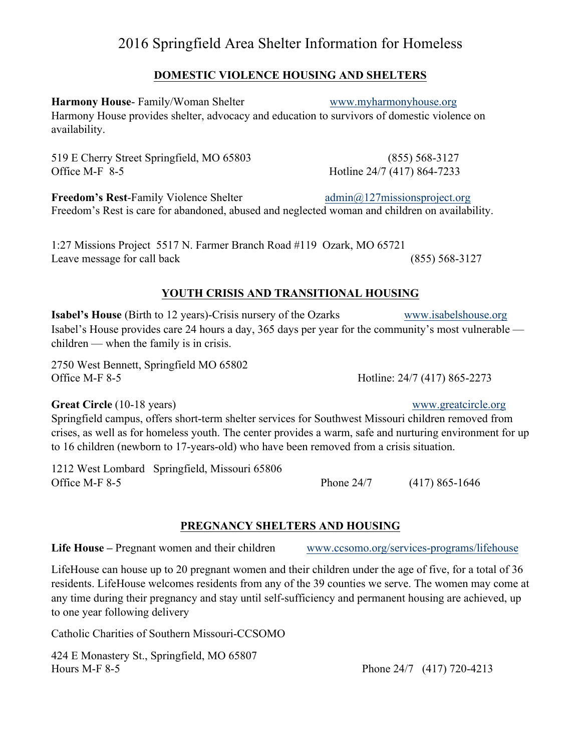## 2016 Springfield Area Shelter Information for Homeless

### **DOMESTIC VIOLENCE HOUSING AND SHELTERS**

**Harmony House-** Family/Woman Shelter www.myharmonyhouse.org Harmony House provides shelter, advocacy and education to survivors of domestic violence on availability.

519 E Cherry Street Springfield, MO 65803 (855) 568-3127 Office M-F 8-5 Hotline 24/7 (417) 864-7233

**Freedom's Rest-Family Violence Shelter 1 admin@127missionsproject.org** Freedom's Rest is care for abandoned, abused and neglected woman and children on availability.

1:27 Missions Project 5517 N. Farmer Branch Road #119 Ozark, MO 65721 Leave message for call back (855) 568-3127

### **YOUTH CRISIS AND TRANSITIONAL HOUSING**

**Isabel's House** (Birth to 12 years)-Crisis nursery of the Ozarks www.isabelshouse.org Isabel's House provides care 24 hours a day, 365 days per year for the community's most vulnerable children — when the family is in crisis.

2750 West Bennett, Springfield MO 65802 Office M-F 8-5 Hotline: 24/7 (417) 865-2273

Great Circle (10-18 years) www.greatcircle.org

Springfield campus, offers short-term shelter services for Southwest Missouri children removed from crises, as well as for homeless youth. The center provides a warm, safe and nurturing environment for up to 16 children (newborn to 17-years-old) who have been removed from a crisis situation.

1212 West Lombard Springfield, Missouri 65806 Office M-F 8-5 Phone 24/7 (417) 865-1646

### **PREGNANCY SHELTERS AND HOUSING**

Life House – Pregnant women and their children www.ccsomo.org/services-programs/lifehouse

LifeHouse can house up to 20 pregnant women and their children under the age of five, for a total of 36 residents. LifeHouse welcomes residents from any of the 39 counties we serve. The women may come at any time during their pregnancy and stay until self-sufficiency and permanent housing are achieved, up to one year following delivery

Catholic Charities of Southern Missouri-CCSOMO

424 E Monastery St., Springfield, MO 65807 Hours M-F 8-5 Phone 24/7 (417) 720-4213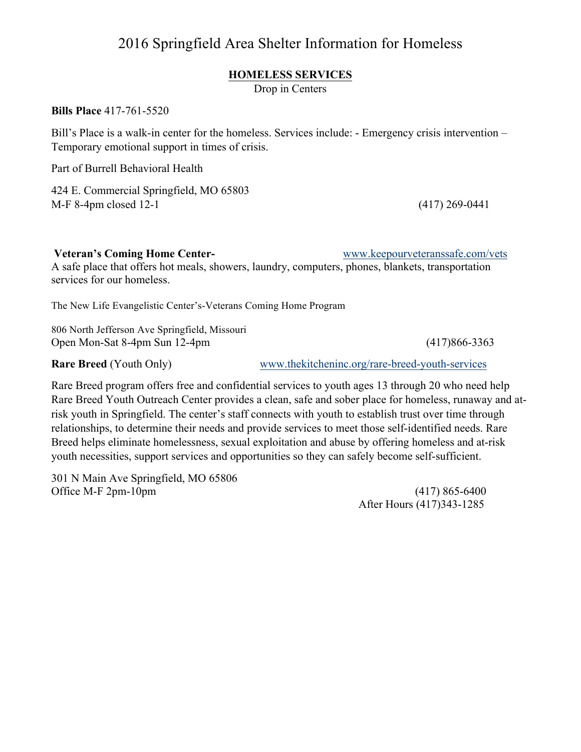## 2016 Springfield Area Shelter Information for Homeless

### **HOMELESS SERVICES**

Drop in Centers

**Bills Place** 417-761-5520

Bill's Place is a walk-in center for the homeless. Services include: - Emergency crisis intervention – Temporary emotional support in times of crisis.

Part of Burrell Behavioral Health

424 E. Commercial Springfield, MO 65803 M-F 8-4pm closed 12-1 (417) 269-0441

**Veteran's Coming Home Center-** www.keepourveteranssafe.com/vets

A safe place that offers hot meals, showers, laundry, computers, phones, blankets, transportation services for our homeless.

The New Life Evangelistic Center's-Veterans Coming Home Program

806 North Jefferson Ave Springfield, Missouri Open Mon-Sat 8-4pm Sun 12-4pm (417)866-3363

**Rare Breed** (Youth Only) www.thekitcheninc.org/rare-breed-youth-services

Rare Breed program offers free and confidential services to youth ages 13 through 20 who need help Rare Breed Youth Outreach Center provides a clean, safe and sober place for homeless, runaway and atrisk youth in Springfield. The center's staff connects with youth to establish trust over time through relationships, to determine their needs and provide services to meet those self-identified needs. Rare Breed helps eliminate homelessness, sexual exploitation and abuse by offering homeless and at-risk youth necessities, support services and opportunities so they can safely become self-sufficient.

301 N Main Ave Springfield, MO 65806 Office M-F 2pm-10pm (417) 865-6400

After Hours (417)343-1285